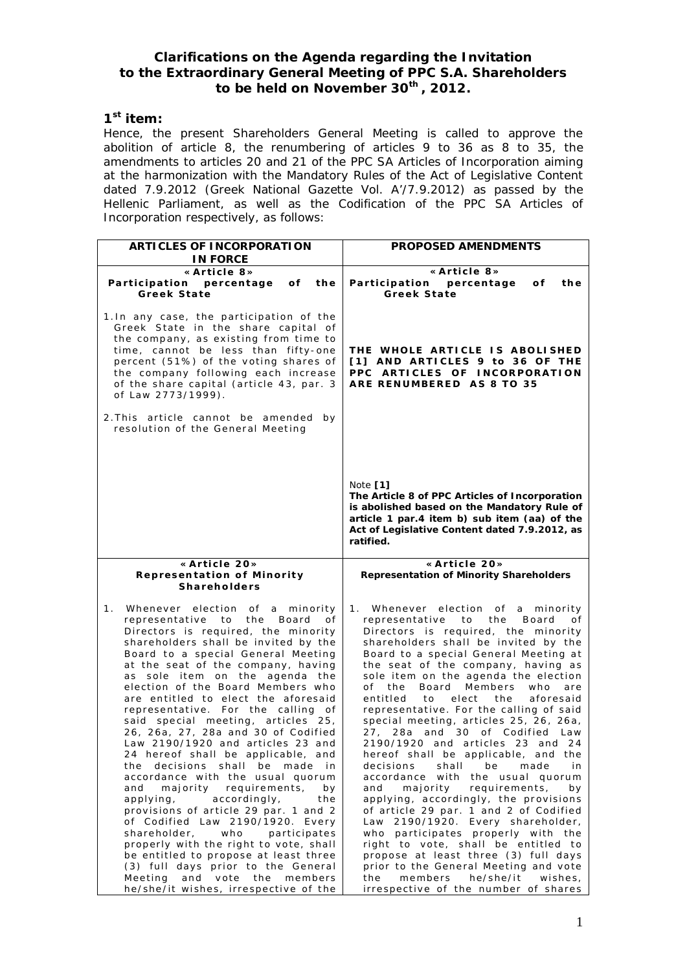## **Clarifications on the Agenda regarding the Invitation to the Extraordinary General Meeting of PPC S.A. Shareholders to be held on November 30th , 2012.**

## **1 st item:**

Hence, the present Shareholders General Meeting is called to approve the abolition of article 8, the renumbering of articles 9 to 36 as 8 to 35, the amendments to articles 20 and 21 of the PPC SA Articles of Incorporation aiming at the harmonization with the Mandatory Rules of the Act of Legislative Content dated 7.9.2012 (Greek National Gazette Vol. A'/7.9.2012) as passed by the Hellenic Parliament, as well as the Codification of the PPC SA Articles of Incorporation respectively, as follows:

| ARTICLES OF INCORPORATION                                                                                                                                                                                                                                                                                                                                                                                                                                                                                                                                                                                                                                                                                                                                                                                                                                                                                                                                                                                                      | PROPOSED AMENDMENTS                                                                                                                                                                                                                                                                                                                                                                                                                                                                                                                                                                                                                                                                                                                                                                                                                                                                                                                                                                                                                                               |
|--------------------------------------------------------------------------------------------------------------------------------------------------------------------------------------------------------------------------------------------------------------------------------------------------------------------------------------------------------------------------------------------------------------------------------------------------------------------------------------------------------------------------------------------------------------------------------------------------------------------------------------------------------------------------------------------------------------------------------------------------------------------------------------------------------------------------------------------------------------------------------------------------------------------------------------------------------------------------------------------------------------------------------|-------------------------------------------------------------------------------------------------------------------------------------------------------------------------------------------------------------------------------------------------------------------------------------------------------------------------------------------------------------------------------------------------------------------------------------------------------------------------------------------------------------------------------------------------------------------------------------------------------------------------------------------------------------------------------------------------------------------------------------------------------------------------------------------------------------------------------------------------------------------------------------------------------------------------------------------------------------------------------------------------------------------------------------------------------------------|
| <b>IN FORCE</b>                                                                                                                                                                                                                                                                                                                                                                                                                                                                                                                                                                                                                                                                                                                                                                                                                                                                                                                                                                                                                |                                                                                                                                                                                                                                                                                                                                                                                                                                                                                                                                                                                                                                                                                                                                                                                                                                                                                                                                                                                                                                                                   |
| «Article 8»                                                                                                                                                                                                                                                                                                                                                                                                                                                                                                                                                                                                                                                                                                                                                                                                                                                                                                                                                                                                                    | «Article 8»                                                                                                                                                                                                                                                                                                                                                                                                                                                                                                                                                                                                                                                                                                                                                                                                                                                                                                                                                                                                                                                       |
| Participation percentage<br>оf<br>the                                                                                                                                                                                                                                                                                                                                                                                                                                                                                                                                                                                                                                                                                                                                                                                                                                                                                                                                                                                          | the<br>Participation<br>percentage<br>оf                                                                                                                                                                                                                                                                                                                                                                                                                                                                                                                                                                                                                                                                                                                                                                                                                                                                                                                                                                                                                          |
| Greek State                                                                                                                                                                                                                                                                                                                                                                                                                                                                                                                                                                                                                                                                                                                                                                                                                                                                                                                                                                                                                    | Greek State                                                                                                                                                                                                                                                                                                                                                                                                                                                                                                                                                                                                                                                                                                                                                                                                                                                                                                                                                                                                                                                       |
| 1. In any case, the participation of the<br>Greek State in the share capital of<br>the company, as existing from time to<br>time, cannot be less than fifty-one<br>percent (51%) of the voting shares of<br>the company following each increase<br>of the share capital (article 43, par. 3<br>of Law 2773/1999).<br>2. This article cannot be amended by<br>resolution of the General Meeting                                                                                                                                                                                                                                                                                                                                                                                                                                                                                                                                                                                                                                 | THE WHOLE ARTICLE IS ABOLISHED<br>[1] AND ARTICLES 9 to 36 OF THE<br>PPC ARTICLES OF INCORPORATION<br>ARE RENUMBERED AS 8 TO 35                                                                                                                                                                                                                                                                                                                                                                                                                                                                                                                                                                                                                                                                                                                                                                                                                                                                                                                                   |
|                                                                                                                                                                                                                                                                                                                                                                                                                                                                                                                                                                                                                                                                                                                                                                                                                                                                                                                                                                                                                                | Note $[1]$<br>The Article 8 of PPC Articles of Incorporation<br>is abolished based on the Mandatory Rule of<br>article 1 par.4 item b) sub item (aa) of the<br>Act of Legislative Content dated 7.9.2012, as<br>ratified.                                                                                                                                                                                                                                                                                                                                                                                                                                                                                                                                                                                                                                                                                                                                                                                                                                         |
| « Article 20»                                                                                                                                                                                                                                                                                                                                                                                                                                                                                                                                                                                                                                                                                                                                                                                                                                                                                                                                                                                                                  | « Article 20»                                                                                                                                                                                                                                                                                                                                                                                                                                                                                                                                                                                                                                                                                                                                                                                                                                                                                                                                                                                                                                                     |
| Representation of Minority<br>Shareholders                                                                                                                                                                                                                                                                                                                                                                                                                                                                                                                                                                                                                                                                                                                                                                                                                                                                                                                                                                                     | Representation of Minority Shareholders                                                                                                                                                                                                                                                                                                                                                                                                                                                                                                                                                                                                                                                                                                                                                                                                                                                                                                                                                                                                                           |
| Whenever election of<br>a minority<br>1.<br>representative to<br>the<br>Board<br>οf<br>Directors is required, the minority<br>shareholders shall be invited by the<br>Board to a special General Meeting<br>at the seat of the company, having<br>sole item on the agenda the<br>as<br>election of the Board Members who<br>are entitled to elect the aforesaid<br>representative. For the calling of<br>said special meeting, articles 25,<br>26, 26a, 27, 28a and 30 of Codified<br>Law 2190/1920 and articles 23 and<br>24 hereof shall be applicable, and<br>the decisions shall be made in<br>accordance with the usual quorum<br>majority requirements,<br>and<br>bγ<br>accordingly,<br>applying,<br>the<br>provisions of article 29 par. 1 and 2<br>of Codified Law 2190/1920. Every<br>shareholder, who participates<br>properly with the right to vote, shall<br>be entitled to propose at least three<br>(3) full days prior to the General<br>Meeting and vote the members<br>he/she/it wishes, irrespective of the | 1. Whenever election of a<br>minority<br>representative to<br>the<br>Board<br>οf<br>Directors is required, the minority<br>shareholders shall be invited by the<br>Board to a special General Meeting at<br>the seat of the company, having as<br>sole item on the agenda the election<br>Members<br>of<br>the<br>Board<br>who<br>are<br>entitled<br>elect the<br>aforesaid<br>to<br>representative. For the calling of said<br>special meeting, articles 25, 26, 26a,<br>27, 28a and 30 of Codified Law<br>2190/1920 and articles 23 and 24<br>hereof shall be applicable, and the<br>decisions shall be made<br>in<br>accordance with the usual quorum<br>majority requirements,<br>and<br>bν<br>applying, accordingly, the provisions<br>of article 29 par. 1 and 2 of Codified<br>Law 2190/1920. Every shareholder,<br>who participates properly with the<br>right to vote, shall be entitled to<br>propose at least three (3) full days<br>prior to the General Meeting and vote<br>members he/she/it wishes,<br>the<br>irrespective of the number of shares |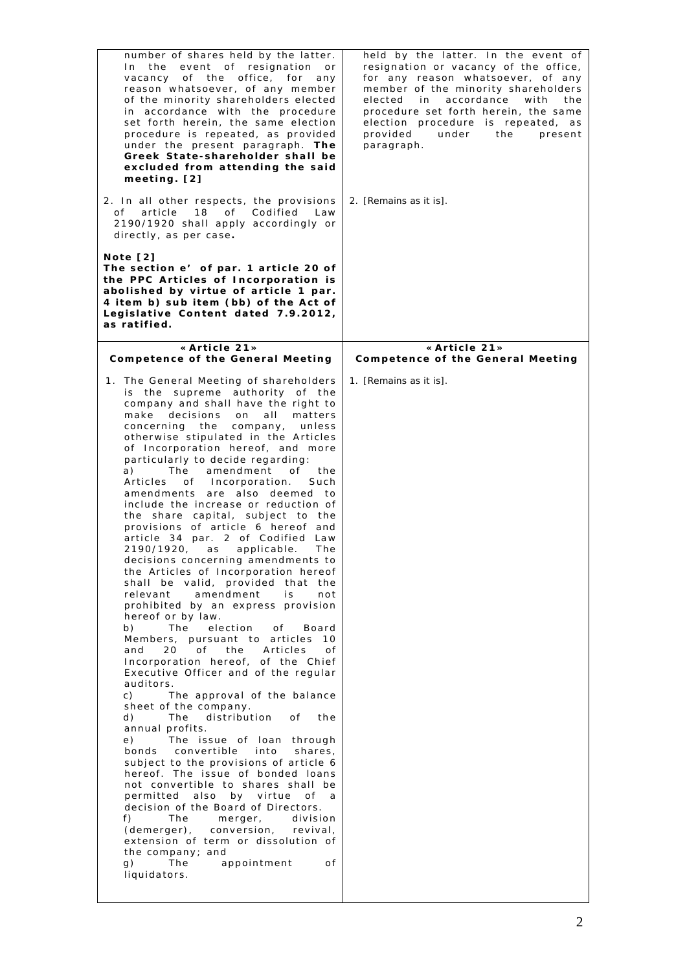| number of shares held by the latter.<br>event of resignation or<br>In the<br>vacancy of the office, for<br>any<br>reason whatsoever, of any member<br>of the minority shareholders elected<br>in accordance with the procedure<br>set forth herein, the same election<br>procedure is repeated, as provided<br>under the present paragraph. The<br>Greek State-shareholder shall be<br>excluded from attending the said<br>meeting. [2]<br>2. In all other respects, the provisions                                                                                                                                                                                                                                                                                                                                                                                                                                                                                                                                                                                                                                                                                                                                                                                                                                                                                                                                                                                                                                                                                                                                                                                                           | held by the latter. In the event of<br>resignation or vacancy of the office,<br>for any reason whatsoever, of any<br>member of the minority shareholders<br>accordance<br>elected<br>with<br>in<br>the<br>procedure set forth herein, the same<br>election procedure is repeated, as<br>provided<br>under<br>the<br>present<br>paragraph.<br>2. [Remains as it is]. |
|-----------------------------------------------------------------------------------------------------------------------------------------------------------------------------------------------------------------------------------------------------------------------------------------------------------------------------------------------------------------------------------------------------------------------------------------------------------------------------------------------------------------------------------------------------------------------------------------------------------------------------------------------------------------------------------------------------------------------------------------------------------------------------------------------------------------------------------------------------------------------------------------------------------------------------------------------------------------------------------------------------------------------------------------------------------------------------------------------------------------------------------------------------------------------------------------------------------------------------------------------------------------------------------------------------------------------------------------------------------------------------------------------------------------------------------------------------------------------------------------------------------------------------------------------------------------------------------------------------------------------------------------------------------------------------------------------|---------------------------------------------------------------------------------------------------------------------------------------------------------------------------------------------------------------------------------------------------------------------------------------------------------------------------------------------------------------------|
| 18 of<br>of<br>article<br>Codified<br>Law<br>2190/1920 shall apply accordingly or<br>directly, as per case.                                                                                                                                                                                                                                                                                                                                                                                                                                                                                                                                                                                                                                                                                                                                                                                                                                                                                                                                                                                                                                                                                                                                                                                                                                                                                                                                                                                                                                                                                                                                                                                   |                                                                                                                                                                                                                                                                                                                                                                     |
| Note [2]<br>The section e' of par. 1 article 20 of<br>the PPC Articles of Incorporation is<br>abolished by virtue of article 1 par.<br>4 item b) sub item (bb) of the Act of<br>Legislative Content dated 7.9.2012,<br>as ratified.                                                                                                                                                                                                                                                                                                                                                                                                                                                                                                                                                                                                                                                                                                                                                                                                                                                                                                                                                                                                                                                                                                                                                                                                                                                                                                                                                                                                                                                           |                                                                                                                                                                                                                                                                                                                                                                     |
| « Article 21»<br>Competence of the General Meeting                                                                                                                                                                                                                                                                                                                                                                                                                                                                                                                                                                                                                                                                                                                                                                                                                                                                                                                                                                                                                                                                                                                                                                                                                                                                                                                                                                                                                                                                                                                                                                                                                                            | «Article 21»<br>Competence of the General Meeting                                                                                                                                                                                                                                                                                                                   |
| 1. The General Meeting of shareholders<br>is the supreme authority of the<br>company and shall have the right to<br>make decisions<br>on<br>all<br>matters<br>concerning the<br>company,<br>unless<br>otherwise stipulated in the Articles<br>of Incorporation hereof, and more<br>particularly to decide regarding:<br>The<br>amendment<br>of<br>a)<br>the<br>Articles<br>of Incorporation.<br>Such<br>amendments are also deemed to<br>include the increase or reduction of<br>the share capital, subject to the<br>provisions of article 6 hereof and<br>article 34 par. 2 of Codified Law<br>2190/1920,<br>applicable.<br>The<br>as<br>decisions concerning amendments to<br>the Articles of Incorporation hereof<br>shall be valid, provided<br>that<br>the<br>amendment<br>relevant<br>is.<br>not<br>prohibited by an express provision<br>hereof or by law.<br>election<br>b)<br>The<br>of<br>Board<br>Members, pursuant to articles<br>10<br>of<br>and<br>20<br>the<br>Articles<br>οf<br>Incorporation hereof, of the Chief<br>Executive Officer and of the regular<br>auditors.<br>C)<br>The approval of the balance<br>sheet of the company.<br>The distribution<br>d)<br>of<br>the<br>annual profits.<br>The issue of loan through<br>e)<br>convertible<br>bonds<br>into<br>shares,<br>subject to the provisions of article 6<br>hereof. The issue of bonded loans<br>not convertible to shares shall be<br>permitted also by virtue<br>of<br>a<br>decision of the Board of Directors.<br>The<br>division<br>f)<br>merger,<br>(demerger),<br>conversion,<br>revival,<br>extension of term or dissolution of<br>the company; and<br>g)<br>The<br>appointment<br>0 f<br>liquidators. | 1. [Remains as it is].                                                                                                                                                                                                                                                                                                                                              |